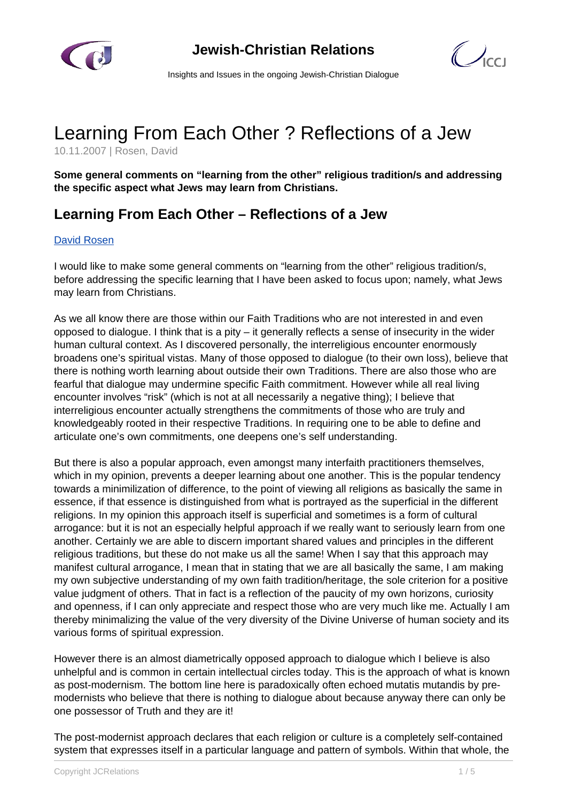

 $\bigcup_{C}$ 

Insights and Issues in the ongoing Jewish-Christian Dialogue

## Learning From Each Other ? Reflections of a Jew

10.11.2007 | Rosen, David

**Some general comments on "learning from the other" religious tradition/s and addressing the specific aspect what Jews may learn from Christians.**

## **Learning From Each Other – Reflections of a Jew**

## [David Rosen](/article.html?item=1123&cHash=8e2ef275ef083c43f15eedd6144b3a60)

I would like to make some general comments on "learning from the other" religious tradition/s, before addressing the specific learning that I have been asked to focus upon; namely, what Jews may learn from Christians.

As we all know there are those within our Faith Traditions who are not interested in and even opposed to dialogue. I think that is a pity – it generally reflects a sense of insecurity in the wider human cultural context. As I discovered personally, the interreligious encounter enormously broadens one's spiritual vistas. Many of those opposed to dialogue (to their own loss), believe that there is nothing worth learning about outside their own Traditions. There are also those who are fearful that dialogue may undermine specific Faith commitment. However while all real living encounter involves "risk" (which is not at all necessarily a negative thing); I believe that interreligious encounter actually strengthens the commitments of those who are truly and knowledgeably rooted in their respective Traditions. In requiring one to be able to define and articulate one's own commitments, one deepens one's self understanding.

But there is also a popular approach, even amongst many interfaith practitioners themselves, which in my opinion, prevents a deeper learning about one another. This is the popular tendency towards a minimilization of difference, to the point of viewing all religions as basically the same in essence, if that essence is distinguished from what is portrayed as the superficial in the different religions. In my opinion this approach itself is superficial and sometimes is a form of cultural arrogance: but it is not an especially helpful approach if we really want to seriously learn from one another. Certainly we are able to discern important shared values and principles in the different religious traditions, but these do not make us all the same! When I say that this approach may manifest cultural arrogance, I mean that in stating that we are all basically the same, I am making my own subjective understanding of my own faith tradition/heritage, the sole criterion for a positive value judgment of others. That in fact is a reflection of the paucity of my own horizons, curiosity and openness, if I can only appreciate and respect those who are very much like me. Actually I am thereby minimalizing the value of the very diversity of the Divine Universe of human society and its various forms of spiritual expression.

However there is an almost diametrically opposed approach to dialogue which I believe is also unhelpful and is common in certain intellectual circles today. This is the approach of what is known as post-modernism. The bottom line here is paradoxically often echoed mutatis mutandis by premodernists who believe that there is nothing to dialogue about because anyway there can only be one possessor of Truth and they are it!

The post-modernist approach declares that each religion or culture is a completely self-contained system that expresses itself in a particular language and pattern of symbols. Within that whole, the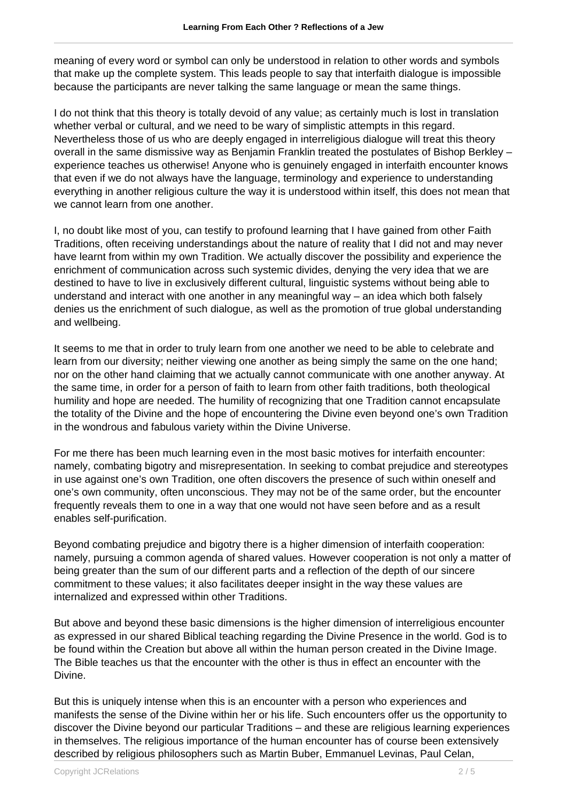meaning of every word or symbol can only be understood in relation to other words and symbols that make up the complete system. This leads people to say that interfaith dialogue is impossible because the participants are never talking the same language or mean the same things.

I do not think that this theory is totally devoid of any value; as certainly much is lost in translation whether verbal or cultural, and we need to be wary of simplistic attempts in this regard. Nevertheless those of us who are deeply engaged in interreligious dialogue will treat this theory overall in the same dismissive way as Benjamin Franklin treated the postulates of Bishop Berkley – experience teaches us otherwise! Anyone who is genuinely engaged in interfaith encounter knows that even if we do not always have the language, terminology and experience to understanding everything in another religious culture the way it is understood within itself, this does not mean that we cannot learn from one another.

I, no doubt like most of you, can testify to profound learning that I have gained from other Faith Traditions, often receiving understandings about the nature of reality that I did not and may never have learnt from within my own Tradition. We actually discover the possibility and experience the enrichment of communication across such systemic divides, denying the very idea that we are destined to have to live in exclusively different cultural, linguistic systems without being able to understand and interact with one another in any meaningful way – an idea which both falsely denies us the enrichment of such dialogue, as well as the promotion of true global understanding and wellbeing.

It seems to me that in order to truly learn from one another we need to be able to celebrate and learn from our diversity; neither viewing one another as being simply the same on the one hand; nor on the other hand claiming that we actually cannot communicate with one another anyway. At the same time, in order for a person of faith to learn from other faith traditions, both theological humility and hope are needed. The humility of recognizing that one Tradition cannot encapsulate the totality of the Divine and the hope of encountering the Divine even beyond one's own Tradition in the wondrous and fabulous variety within the Divine Universe.

For me there has been much learning even in the most basic motives for interfaith encounter: namely, combating bigotry and misrepresentation. In seeking to combat prejudice and stereotypes in use against one's own Tradition, one often discovers the presence of such within oneself and one's own community, often unconscious. They may not be of the same order, but the encounter frequently reveals them to one in a way that one would not have seen before and as a result enables self-purification.

Beyond combating prejudice and bigotry there is a higher dimension of interfaith cooperation: namely, pursuing a common agenda of shared values. However cooperation is not only a matter of being greater than the sum of our different parts and a reflection of the depth of our sincere commitment to these values; it also facilitates deeper insight in the way these values are internalized and expressed within other Traditions.

But above and beyond these basic dimensions is the higher dimension of interreligious encounter as expressed in our shared Biblical teaching regarding the Divine Presence in the world. God is to be found within the Creation but above all within the human person created in the Divine Image. The Bible teaches us that the encounter with the other is thus in effect an encounter with the Divine.

But this is uniquely intense when this is an encounter with a person who experiences and manifests the sense of the Divine within her or his life. Such encounters offer us the opportunity to discover the Divine beyond our particular Traditions – and these are religious learning experiences in themselves. The religious importance of the human encounter has of course been extensively described by religious philosophers such as Martin Buber, Emmanuel Levinas, Paul Celan,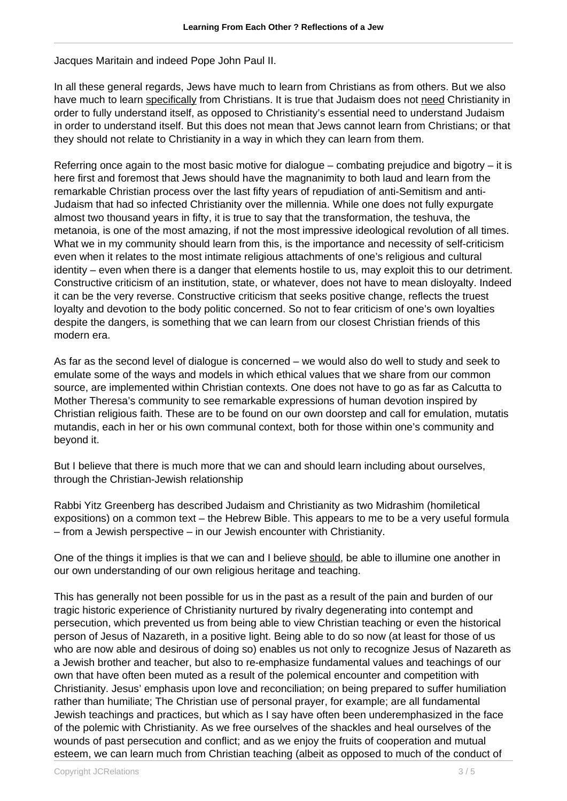Jacques Maritain and indeed Pope John Paul II.

In all these general regards, Jews have much to learn from Christians as from others. But we also have much to learn specifically from Christians. It is true that Judaism does not need Christianity in order to fully understand itself, as opposed to Christianity's essential need to understand Judaism in order to understand itself. But this does not mean that Jews cannot learn from Christians; or that they should not relate to Christianity in a way in which they can learn from them.

Referring once again to the most basic motive for dialogue – combating prejudice and bigotry – it is here first and foremost that Jews should have the magnanimity to both laud and learn from the remarkable Christian process over the last fifty years of repudiation of anti-Semitism and anti-Judaism that had so infected Christianity over the millennia. While one does not fully expurgate almost two thousand years in fifty, it is true to say that the transformation, the teshuva, the metanoia, is one of the most amazing, if not the most impressive ideological revolution of all times. What we in my community should learn from this, is the importance and necessity of self-criticism even when it relates to the most intimate religious attachments of one's religious and cultural identity – even when there is a danger that elements hostile to us, may exploit this to our detriment. Constructive criticism of an institution, state, or whatever, does not have to mean disloyalty. Indeed it can be the very reverse. Constructive criticism that seeks positive change, reflects the truest loyalty and devotion to the body politic concerned. So not to fear criticism of one's own loyalties despite the dangers, is something that we can learn from our closest Christian friends of this modern era.

As far as the second level of dialogue is concerned – we would also do well to study and seek to emulate some of the ways and models in which ethical values that we share from our common source, are implemented within Christian contexts. One does not have to go as far as Calcutta to Mother Theresa's community to see remarkable expressions of human devotion inspired by Christian religious faith. These are to be found on our own doorstep and call for emulation, mutatis mutandis, each in her or his own communal context, both for those within one's community and beyond it.

But I believe that there is much more that we can and should learn including about ourselves, through the Christian-Jewish relationship

Rabbi Yitz Greenberg has described Judaism and Christianity as two Midrashim (homiletical expositions) on a common text – the Hebrew Bible. This appears to me to be a very useful formula – from a Jewish perspective – in our Jewish encounter with Christianity.

One of the things it implies is that we can and I believe should, be able to illumine one another in our own understanding of our own religious heritage and teaching.

This has generally not been possible for us in the past as a result of the pain and burden of our tragic historic experience of Christianity nurtured by rivalry degenerating into contempt and persecution, which prevented us from being able to view Christian teaching or even the historical person of Jesus of Nazareth, in a positive light. Being able to do so now (at least for those of us who are now able and desirous of doing so) enables us not only to recognize Jesus of Nazareth as a Jewish brother and teacher, but also to re-emphasize fundamental values and teachings of our own that have often been muted as a result of the polemical encounter and competition with Christianity. Jesus' emphasis upon love and reconciliation; on being prepared to suffer humiliation rather than humiliate; The Christian use of personal prayer, for example; are all fundamental Jewish teachings and practices, but which as I say have often been underemphasized in the face of the polemic with Christianity. As we free ourselves of the shackles and heal ourselves of the wounds of past persecution and conflict; and as we enjoy the fruits of cooperation and mutual esteem, we can learn much from Christian teaching (albeit as opposed to much of the conduct of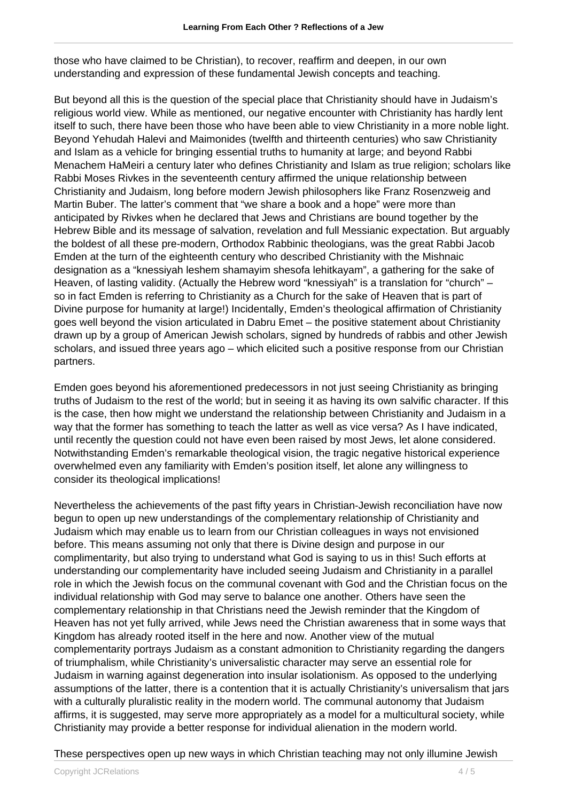those who have claimed to be Christian), to recover, reaffirm and deepen, in our own understanding and expression of these fundamental Jewish concepts and teaching.

But beyond all this is the question of the special place that Christianity should have in Judaism's religious world view. While as mentioned, our negative encounter with Christianity has hardly lent itself to such, there have been those who have been able to view Christianity in a more noble light. Beyond Yehudah Halevi and Maimonides (twelfth and thirteenth centuries) who saw Christianity and Islam as a vehicle for bringing essential truths to humanity at large; and beyond Rabbi Menachem HaMeiri a century later who defines Christianity and Islam as true religion; scholars like Rabbi Moses Rivkes in the seventeenth century affirmed the unique relationship between Christianity and Judaism, long before modern Jewish philosophers like Franz Rosenzweig and Martin Buber. The latter's comment that "we share a book and a hope" were more than anticipated by Rivkes when he declared that Jews and Christians are bound together by the Hebrew Bible and its message of salvation, revelation and full Messianic expectation. But arguably the boldest of all these pre-modern, Orthodox Rabbinic theologians, was the great Rabbi Jacob Emden at the turn of the eighteenth century who described Christianity with the Mishnaic designation as a "knessiyah leshem shamayim shesofa lehitkayam", a gathering for the sake of Heaven, of lasting validity. (Actually the Hebrew word "knessiyah" is a translation for "church" – so in fact Emden is referring to Christianity as a Church for the sake of Heaven that is part of Divine purpose for humanity at large!) Incidentally, Emden's theological affirmation of Christianity goes well beyond the vision articulated in Dabru Emet – the positive statement about Christianity drawn up by a group of American Jewish scholars, signed by hundreds of rabbis and other Jewish scholars, and issued three years ago – which elicited such a positive response from our Christian partners.

Emden goes beyond his aforementioned predecessors in not just seeing Christianity as bringing truths of Judaism to the rest of the world; but in seeing it as having its own salvific character. If this is the case, then how might we understand the relationship between Christianity and Judaism in a way that the former has something to teach the latter as well as vice versa? As I have indicated, until recently the question could not have even been raised by most Jews, let alone considered. Notwithstanding Emden's remarkable theological vision, the tragic negative historical experience overwhelmed even any familiarity with Emden's position itself, let alone any willingness to consider its theological implications!

Nevertheless the achievements of the past fifty years in Christian-Jewish reconciliation have now begun to open up new understandings of the complementary relationship of Christianity and Judaism which may enable us to learn from our Christian colleagues in ways not envisioned before. This means assuming not only that there is Divine design and purpose in our complimentarity, but also trying to understand what God is saying to us in this! Such efforts at understanding our complementarity have included seeing Judaism and Christianity in a parallel role in which the Jewish focus on the communal covenant with God and the Christian focus on the individual relationship with God may serve to balance one another. Others have seen the complementary relationship in that Christians need the Jewish reminder that the Kingdom of Heaven has not yet fully arrived, while Jews need the Christian awareness that in some ways that Kingdom has already rooted itself in the here and now. Another view of the mutual complementarity portrays Judaism as a constant admonition to Christianity regarding the dangers of triumphalism, while Christianity's universalistic character may serve an essential role for Judaism in warning against degeneration into insular isolationism. As opposed to the underlying assumptions of the latter, there is a contention that it is actually Christianity's universalism that jars with a culturally pluralistic reality in the modern world. The communal autonomy that Judaism affirms, it is suggested, may serve more appropriately as a model for a multicultural society, while Christianity may provide a better response for individual alienation in the modern world.

## These perspectives open up new ways in which Christian teaching may not only illumine Jewish